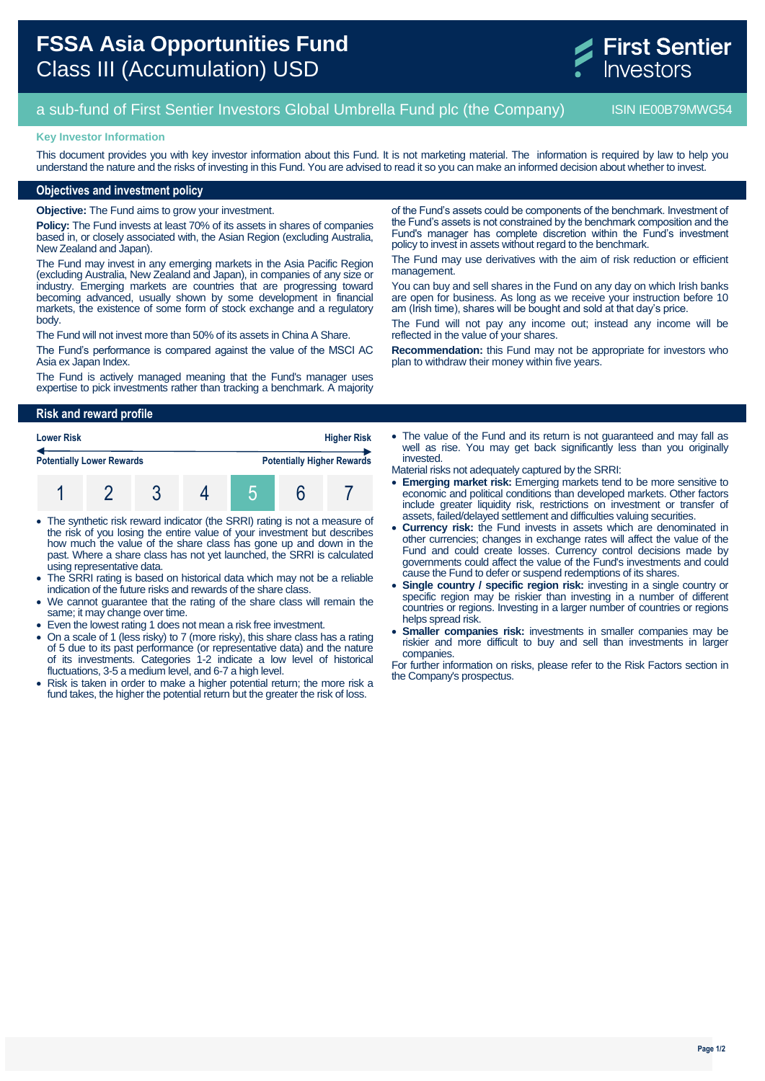

# a sub-fund of First Sentier Investors Global Umbrella Fund plc (the Company) ISIN IE00B79MWG54

#### **Key Investor Information**

This document provides you with key investor information about this Fund. It is not marketing material. The information is required by law to help you understand the nature and the risks of investing in this Fund. You are advised to read it so you can make an informed decision about whether to invest.

## **Objectives and investment policy**

**Objective:** The Fund aims to grow your investment.

**Policy:** The Fund invests at least 70% of its assets in shares of companies based in, or closely associated with, the Asian Region (excluding Australia, New Zealand and Japan).

The Fund may invest in any emerging markets in the Asia Pacific Region (excluding Australia, New Zealand and Japan), in companies of any size or industry. Emerging markets are countries that are progressing toward becoming advanced, usually shown by some development in financial markets, the existence of some form of stock exchange and a regulatory body.

The Fund will not invest more than 50% of its assets in China A Share.

The Fund's performance is compared against the value of the MSCI AC Asia ex Japan Index.

The Fund is actively managed meaning that the Fund's manager uses expertise to pick investments rather than tracking a benchmark. A majority of the Fund's assets could be components of the benchmark. Investment of the Fund's assets is not constrained by the benchmark composition and the Fund's manager has complete discretion within the Fund's investment policy to invest in assets without regard to the benchmark.

The Fund may use derivatives with the aim of risk reduction or efficient management.

You can buy and sell shares in the Fund on any day on which Irish banks are open for business. As long as we receive your instruction before 10 am (Irish time), shares will be bought and sold at that day's price.

The Fund will not pay any income out; instead any income will be reflected in the value of your shares.

**Recommendation:** this Fund may not be appropriate for investors who plan to withdraw their money within five years.

## **Risk and reward profile**

| <b>Lower Risk</b>                |  |  |  | <b>Higher Risk</b> |  |                                   |
|----------------------------------|--|--|--|--------------------|--|-----------------------------------|
| <b>Potentially Lower Rewards</b> |  |  |  |                    |  | <b>Potentially Higher Rewards</b> |
|                                  |  |  |  |                    |  |                                   |

- The synthetic risk reward indicator (the SRRI) rating is not a measure of the risk of you losing the entire value of your investment but describes how much the value of the share class has gone up and down in the past. Where a share class has not yet launched, the SRRI is calculated using representative data.
- The SRRI rating is based on historical data which may not be a reliable indication of the future risks and rewards of the share class.
- We cannot guarantee that the rating of the share class will remain the same; it may change over time.
- Even the lowest rating 1 does not mean a risk free investment.
- On a scale of 1 (less risky) to 7 (more risky), this share class has a rating of 5 due to its past performance (or representative data) and the nature of its investments. Categories 1-2 indicate a low level of historical fluctuations, 3-5 a medium level, and 6-7 a high level.
- Risk is taken in order to make a higher potential return; the more risk a fund takes, the higher the potential return but the greater the risk of loss.

• The value of the Fund and its return is not quaranteed and may fall as well as rise. You may get back significantly less than you originally invested.

Material risks not adequately captured by the SRRI:

- **Emerging market risk:** Emerging markets tend to be more sensitive to economic and political conditions than developed markets. Other factors include greater liquidity risk, restrictions on investment or transfer of assets, failed/delayed settlement and difficulties valuing securities.
- **Currency risk:** the Fund invests in assets which are denominated in other currencies; changes in exchange rates will affect the value of the Fund and could create losses. Currency control decisions made by governments could affect the value of the Fund's investments and could cause the Fund to defer or suspend redemptions of its shares.
- **Single country / specific region risk:** investing in a single country or specific region may be riskier than investing in a number of different countries or regions. Investing in a larger number of countries or regions helps spread risk.
- **Smaller companies risk:** investments in smaller companies may be riskier and more difficult to buy and sell than investments in larger companies.

For further information on risks, please refer to the Risk Factors section in the Company's prospectus.